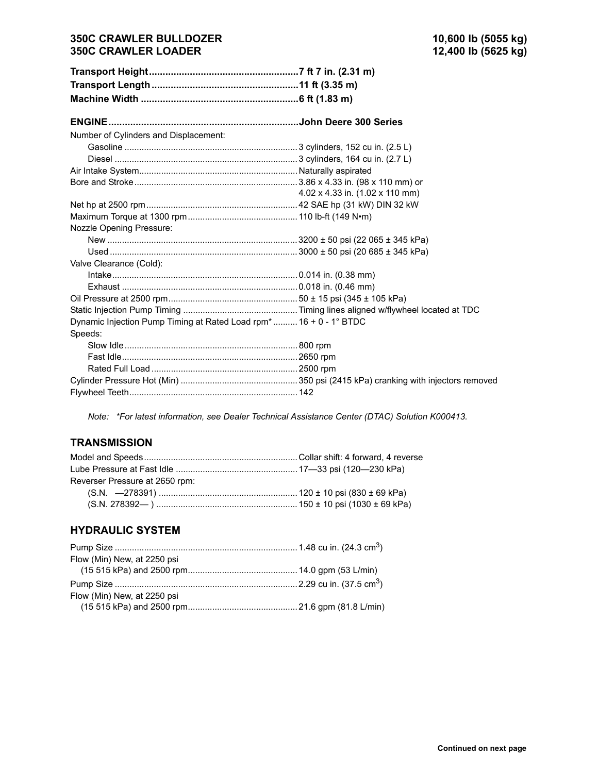#### **350C CRAWLER BULLDOZER 10,600 lb (5055 kg) 350C CRAWLER LOADER**

| Number of Cylinders and Displacement:                                         |                                                       |
|-------------------------------------------------------------------------------|-------------------------------------------------------|
|                                                                               |                                                       |
|                                                                               |                                                       |
|                                                                               |                                                       |
|                                                                               |                                                       |
|                                                                               | $4.02 \times 4.33$ in. $(1.02 \times 110 \text{ mm})$ |
|                                                                               |                                                       |
|                                                                               |                                                       |
| Nozzle Opening Pressure:                                                      |                                                       |
|                                                                               |                                                       |
|                                                                               |                                                       |
| Valve Clearance (Cold):                                                       |                                                       |
|                                                                               |                                                       |
|                                                                               |                                                       |
|                                                                               |                                                       |
|                                                                               |                                                       |
| Dynamic Injection Pump Timing at Rated Load rpm <sup>*</sup> 16 + 0 - 1° BTDC |                                                       |
| Speeds:                                                                       |                                                       |
|                                                                               |                                                       |
|                                                                               |                                                       |
|                                                                               |                                                       |
|                                                                               |                                                       |
|                                                                               |                                                       |

*Note: \*For latest information, see Dealer Technical Assistance Center (DTAC) Solution K000413.*

# **TRANSMISSION**

| Reverser Pressure at 2650 rpm: |  |
|--------------------------------|--|
|                                |  |
|                                |  |

### **HYDRAULIC SYSTEM**

| Flow (Min) New, at 2250 psi |  |
|-----------------------------|--|
|                             |  |
|                             |  |
| Flow (Min) New, at 2250 psi |  |
|                             |  |